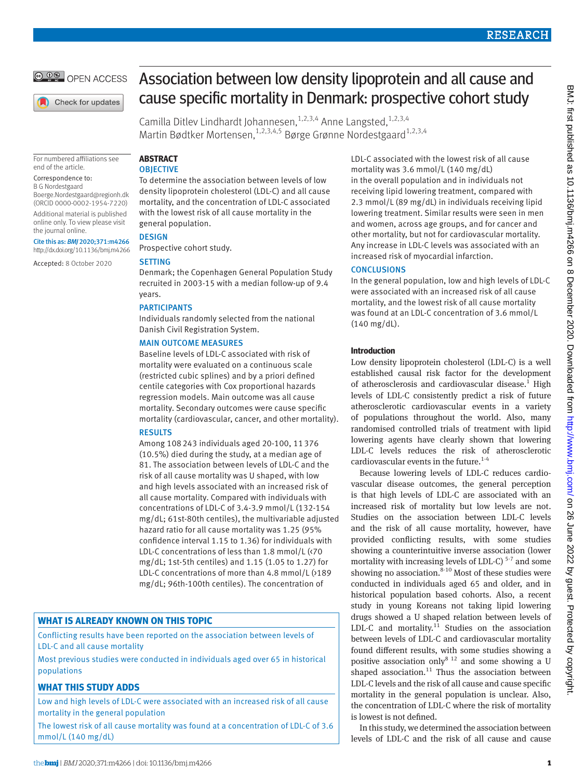

Check for updates

For numbered affiliations see end of the article.

## Correspondence to:

B G Nordestgaard [Boerge.Nordestgaard@regionh.dk](mailto:Boerge.Nordestgaard@regionh.dk) (ORCID [0000-0002-1954-7220\)](http://orcid.org/0000-0002-1954-7220) Additional material is published online only. To view please visit

the journal online. Cite this as: *BMJ* 2020;371:m4266

http://dx.doi.org/10.1136/bmj.m4266

Accepted: 8 October 2020

# Association between low density lipoprotein and all cause and cause specific mortality in Denmark: prospective cohort study

Camilla Ditlev Lindhardt Johannesen,<sup>1,2,3,4</sup> Anne Langsted.<sup>1,2,3,4</sup> Martin Bødtker Mortensen,<sup>1,2,3,4,5</sup> Børge Grønne Nordestgaard<sup>1,2,3,4</sup>

#### **ABSTRACT OBJECTIVE**

## To determine the association between levels of low density lipoprotein cholesterol (LDL-C) and all cause mortality, and the concentration of LDL-C associated with the lowest risk of all cause mortality in the general population.

**DESIGN** 

Prospective cohort study.

## **SETTING**

Denmark; the Copenhagen General Population Study recruited in 2003-15 with a median follow-up of 9.4 years.

## PARTICIPANTS

Individuals randomly selected from the national Danish Civil Registration System.

#### MAIN OUTCOME MEASURES

Baseline levels of LDL-C associated with risk of mortality were evaluated on a continuous scale (restricted cubic splines) and by a priori defined centile categories with Cox proportional hazards regression models. Main outcome was all cause mortality. Secondary outcomes were cause specific mortality (cardiovascular, cancer, and other mortality).

## **RESULTS**

Among 108243 individuals aged 20-100, 11376 (10.5%) died during the study, at a median age of 81. The association between levels of LDL-C and the risk of all cause mortality was U shaped, with low and high levels associated with an increased risk of all cause mortality. Compared with individuals with concentrations of LDL-C of 3.4-3.9 mmol/L (132-154 mg/dL; 61st-80th centiles), the multivariable adjusted hazard ratio for all cause mortality was 1.25 (95% confidence interval 1.15 to 1.36) for individuals with LDL-C concentrations of less than 1.8 mmol/L (<70 mg/dL; 1st-5th centiles) and 1.15 (1.05 to 1.27) for LDL-C concentrations of more than 4.8 mmol/L (>189 mg/dL; 96th-100th centiles). The concentration of

## **WHAT IS ALREADY KNOWN ON THIS TOPIC**

Conflicting results have been reported on the association between levels of LDL-C and all cause mortality

Most previous studies were conducted in individuals aged over 65 in historical populations

## **WHAT THIS STUDY ADDS**

Low and high levels of LDL-C were associated with an increased risk of all cause mortality in the general population

The lowest risk of all cause mortality was found at a concentration of LDL-C of 3.6 mmol/L (140 mg/dL)

LDL-C associated with the lowest risk of all cause mortality was 3.6 mmol/L (140 mg/dL) in the overall population and in individuals not receiving lipid lowering treatment, compared with 2.3 mmol/L (89 mg/dL) in individuals receiving lipid lowering treatment. Similar results were seen in men and women, across age groups, and for cancer and other mortality, but not for cardiovascular mortality. Any increase in LDL-C levels was associated with an increased risk of myocardial infarction.

## **CONCLUSIONS**

In the general population, low and high levels of LDL-C were associated with an increased risk of all cause mortality, and the lowest risk of all cause mortality was found at an LDL-C concentration of 3.6 mmol/L (140 mg/dL).

#### **Introduction**

Low density lipoprotein cholesterol (LDL-C) is a well established causal risk factor for the development of atherosclerosis and cardiovascular disease.<sup>1</sup> High levels of LDL-C consistently predict a risk of future atherosclerotic cardiovascular events in a variety of populations throughout the world. Also, many randomised controlled trials of treatment with lipid lowering agents have clearly shown that lowering LDL-C levels reduces the risk of atherosclerotic cardiovascular events in the future.<sup>1-4</sup>

Because lowering levels of LDL-C reduces cardiovascular disease outcomes, the general perception is that high levels of LDL-C are associated with an increased risk of mortality but low levels are not. Studies on the association between LDL-C levels and the risk of all cause mortality, however, have provided conflicting results, with some studies showing a counterintuitive inverse association (lower mortality with increasing levels of LDL-C)<sup>5-7</sup> and some showing no association.<sup>8-10</sup> Most of these studies were conducted in individuals aged 65 and older, and in historical population based cohorts. Also, a recent study in young Koreans not taking lipid lowering drugs showed a U shaped relation between levels of LDL-C and mortality. $11$  Studies on the association between levels of LDL-C and cardiovascular mortality found different results, with some studies showing a positive association only $8^{12}$  and some showing a U shaped association. $11$  Thus the association between LDL-C levels and the risk of all cause and cause specific mortality in the general population is unclear. Also, the concentration of LDL-C where the risk of mortality is lowest is not defined.

In this study, we determined the association between levels of LDL-C and the risk of all cause and cause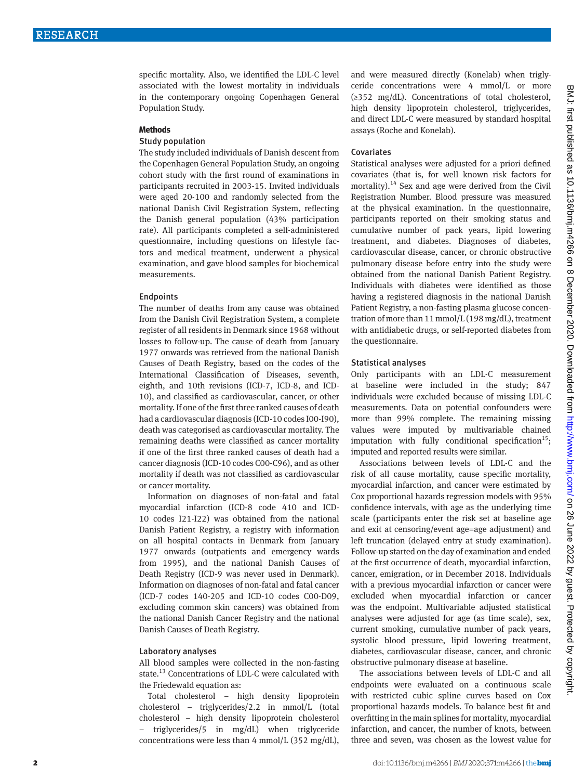specific mortality. Also, we identified the LDL-C level associated with the lowest mortality in individuals in the contemporary ongoing Copenhagen General Population Study.

#### **Methods**

#### Study population

The study included individuals of Danish descent from the Copenhagen General Population Study, an ongoing cohort study with the first round of examinations in participants recruited in 2003-15. Invited individuals were aged 20-100 and randomly selected from the national Danish Civil Registration System, reflecting the Danish general population (43% participation rate). All participants completed a self-administered questionnaire, including questions on lifestyle factors and medical treatment, underwent a physical examination, and gave blood samples for biochemical measurements.

#### **Endpoints**

The number of deaths from any cause was obtained from the Danish Civil Registration System, a complete register of all residents in Denmark since 1968 without losses to follow-up. The cause of death from January 1977 onwards was retrieved from the national Danish Causes of Death Registry, based on the codes of the International Classification of Diseases, seventh, eighth, and 10th revisions (ICD-7, ICD-8, and ICD-10), and classified as cardiovascular, cancer, or other mortality. If one of the first three ranked causes of death had a cardiovascular diagnosis (ICD-10 codes I00-I90), death was categorised as cardiovascular mortality. The remaining deaths were classified as cancer mortality if one of the first three ranked causes of death had a cancer diagnosis (ICD-10 codes C00-C96), and as other mortality if death was not classified as cardiovascular or cancer mortality.

Information on diagnoses of non-fatal and fatal myocardial infarction (ICD-8 code 410 and ICD-10 codes I21-I22) was obtained from the national Danish Patient Registry, a registry with information on all hospital contacts in Denmark from January 1977 onwards (outpatients and emergency wards from 1995), and the national Danish Causes of Death Registry (ICD-9 was never used in Denmark). Information on diagnoses of non-fatal and fatal cancer (ICD-7 codes 140-205 and ICD-10 codes C00-D09, excluding common skin cancers) was obtained from the national Danish Cancer Registry and the national Danish Causes of Death Registry.

#### Laboratory analyses

All blood samples were collected in the non-fasting state.<sup>13</sup> Concentrations of LDL-C were calculated with the Friedewald equation as:

Total cholesterol − high density lipoprotein cholesterol – triglycerides/2.2 in mmol/L (total cholesterol − high density lipoprotein cholesterol – triglycerides/5 in mg/dL) when triglyceride concentrations were less than 4 mmol/L (352 mg/dL),

and were measured directly (Konelab) when triglyceride concentrations were 4 mmol/L or more (≥352 mg/dL). Concentrations of total cholesterol, high density lipoprotein cholesterol, triglycerides, and direct LDL-C were measured by standard hospital assays (Roche and Konelab).

#### Covariates

Statistical analyses were adjusted for a priori defined covariates (that is, for well known risk factors for mortality). $14$  Sex and age were derived from the Civil Registration Number. Blood pressure was measured at the physical examination. In the questionnaire, participants reported on their smoking status and cumulative number of pack years, lipid lowering treatment, and diabetes. Diagnoses of diabetes, cardiovascular disease, cancer, or chronic obstructive pulmonary disease before entry into the study were obtained from the national Danish Patient Registry. Individuals with diabetes were identified as those having a registered diagnosis in the national Danish Patient Registry, a non-fasting plasma glucose concentration of more than 11 mmol/L (198 mg/dL), treatment with antidiabetic drugs, or self-reported diabetes from the questionnaire.

#### Statistical analyses

Only participants with an LDL-C measurement at baseline were included in the study; 847 individuals were excluded because of missing LDL-C measurements. Data on potential confounders were more than 99% complete. The remaining missing values were imputed by multivariable chained imputation with fully conditional specification<sup>15</sup>; imputed and reported results were similar.

Associations between levels of LDL-C and the risk of all cause mortality, cause specific mortality, myocardial infarction, and cancer were estimated by Cox proportional hazards regression models with 95% confidence intervals, with age as the underlying time scale (participants enter the risk set at baseline age and exit at censoring/event age=age adjustment) and left truncation (delayed entry at study examination). Follow-up started on the day of examination and ended at the first occurrence of death, myocardial infarction, cancer, emigration, or in December 2018. Individuals with a previous myocardial infarction or cancer were excluded when myocardial infarction or cancer was the endpoint. Multivariable adjusted statistical analyses were adjusted for age (as time scale), sex, current smoking, cumulative number of pack years, systolic blood pressure, lipid lowering treatment, diabetes, cardiovascular disease, cancer, and chronic obstructive pulmonary disease at baseline.

The associations between levels of LDL-C and all endpoints were evaluated on a continuous scale with restricted cubic spline curves based on Cox proportional hazards models. To balance best fit and overfitting in the main splines for mortality, myocardial infarction, and cancer, the number of knots, between three and seven, was chosen as the lowest value for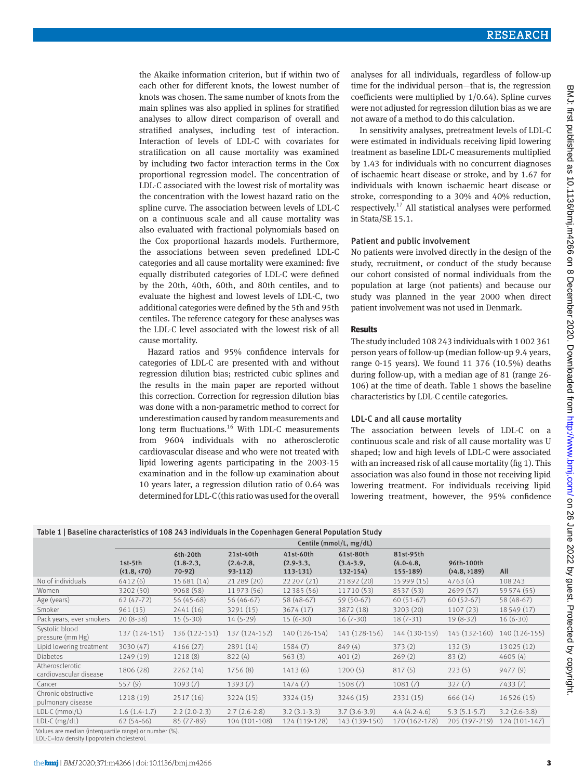the Akaike information criterion, but if within two of each other for different knots, the lowest number of knots was chosen. The same number of knots from the main splines was also applied in splines for stratified analyses to allow direct comparison of overall and stratified analyses, including test of interaction. Interaction of levels of LDL-C with covariates for stratification on all cause mortality was examined by including two factor interaction terms in the Cox proportional regression model. The concentration of LDL-C associated with the lowest risk of mortality was the concentration with the lowest hazard ratio on the spline curve. The association between levels of LDL-C on a continuous scale and all cause mortality was also evaluated with fractional polynomials based on the Cox proportional hazards models. Furthermore, the associations between seven predefined LDL-C categories and all cause mortality were examined: five equally distributed categories of LDL-C were defined by the 20th, 40th, 60th, and 80th centiles, and to evaluate the highest and lowest levels of LDL-C, two additional categories were defined by the 5th and 95th centiles. The reference category for these analyses was the LDL-C level associated with the lowest risk of all cause mortality.

Hazard ratios and 95% confidence intervals for categories of LDL-C are presented with and without regression dilution bias; restricted cubic splines and the results in the main paper are reported without this correction. Correction for regression dilution bias was done with a non-parametric method to correct for underestimation caused by random measurements and long term fluctuations.<sup>16</sup> With LDL-C measurements from 9604 individuals with no atherosclerotic cardiovascular disease and who were not treated with lipid lowering agents participating in the 2003-15 examination and in the follow-up examination about 10 years later, a regression dilution ratio of 0.64 was determined for LDL-C (this ratio was used for the overall

analyses for all individuals, regardless of follow-up time for the individual person—that is, the regression coefficients were multiplied by 1/0.64). Spline curves were not adjusted for regression dilution bias as we are not aware of a method to do this calculation.

In sensitivity analyses, pretreatment levels of LDL-C were estimated in individuals receiving lipid lowering treatment as baseline LDL-C measurements multiplied by 1.43 for individuals with no concurrent diagnoses of ischaemic heart disease or stroke, and by 1.67 for individuals with known ischaemic heart disease or stroke, corresponding to a 30% and 40% reduction, respectively.17 All statistical analyses were performed in Stata/SE 15.1.

#### Patient and public involvement

No patients were involved directly in the design of the study, recruitment, or conduct of the study because our cohort consisted of normal individuals from the population at large (not patients) and because our study was planned in the year 2000 when direct patient involvement was not used in Denmark.

#### **Results**

The study included 108 243 individuals with 1 002 361 person years of follow-up (median follow-up 9.4 years, range 0-15 years). We found 11 376 (10.5%) deaths during follow-up, with a median age of 81 (range 26- 106) at the time of death. Table 1 shows the baseline characteristics by LDL-C centile categories.

#### LDL-C and all cause mortality

The association between levels of LDL-C on a continuous scale and risk of all cause mortality was U shaped; low and high levels of LDL-C were associated with an increased risk of all cause mortality (fig 1). This association was also found in those not receiving lipid lowering treatment. For individuals receiving lipid lowering treatment, however, the 95% confidence

| Table 1   Baseline characteristics of 108 243 individuals in the Copenhagen General Population Study |                         |                                      |                                        |                                          |                                           |                                           |                            |                |
|------------------------------------------------------------------------------------------------------|-------------------------|--------------------------------------|----------------------------------------|------------------------------------------|-------------------------------------------|-------------------------------------------|----------------------------|----------------|
|                                                                                                      | Centile (mmol/L, mg/dL) |                                      |                                        |                                          |                                           |                                           |                            |                |
|                                                                                                      | 1st-5th<br>(1.8, 170)   | 6th-20th<br>$(1.8 - 2.3,$<br>$70-92$ | 21st-40th<br>$(2.4 - 2.8,$<br>$93-112$ | 41st-60th<br>$(2.9 - 3.3,$<br>$113-131)$ | 61st-80th<br>$(3.4 - 3.9,$<br>$132 - 154$ | 81st-95th<br>$(4.0 - 4.8,$<br>$155 - 189$ | 96th-100th<br>(24.8, 2189) | All            |
| No of individuals                                                                                    | 6412(6)                 | 15681 (14)                           | 21 289 (20)                            | 22 207 (21)                              | 21892 (20)                                | 15 9 99 (15)                              | 4763(4)                    | 108243         |
| Women                                                                                                | 3202 (50)               | 9068 (58)                            | 11973 (56)                             | 12385 (56)                               | 11710 (53)                                | 8537 (53)                                 | 2699(57)                   | 59574 (55)     |
| Age (years)                                                                                          | $62(47-72)$             | 56 (45-68)                           | 56 (46-67)                             | 58 (48-67)                               | 59 (50-67)                                | $60(51-67)$                               | $60(52-67)$                | 58 (48-67)     |
| Smoker                                                                                               | 961(15)                 | 2441 (16)                            | 3291 (15)                              | 3674 (17)                                | 3872 (18)                                 | 3203 (20)                                 | 1107 (23)                  | 18549 (17)     |
| Pack years, ever smokers                                                                             | $20(8-38)$              | $15(5-30)$                           | $14(5-29)$                             | $15(6-30)$                               | $16(7-30)$                                | $18(7-31)$                                | $19(8-32)$                 | $16(6-30)$     |
| Systolic blood<br>pressure (mm Hg)                                                                   | 137 (124-151)           | 136 (122-151)                        | 137 (124-152)                          | 140 (126-154)                            | 141 (128-156)                             | 144 (130-159)                             | 145 (132-160)              | 140 (126-155)  |
| Lipid lowering treatment                                                                             | 3030(47)                | 4166(27)                             | 2891 (14)                              | 1584(7)                                  | 849(4)                                    | 373(2)                                    | 132(3)                     | 13025 (12)     |
| <b>Diabetes</b>                                                                                      | 1249 (19)               | 1218 (8)                             | 822(4)                                 | 563(3)                                   | 401(2)                                    | 269(2)                                    | 83(2)                      | 4605(4)        |
| Atherosclerotic<br>cardiovascular disease                                                            | 1806 (28)               | 2262(14)                             | 1756 (8)                               | 1413(6)                                  | 1200(5)                                   | 817(5)                                    | 223(5)                     | 9477(9)        |
| Cancer                                                                                               | 557(9)                  | 1093(7)                              | 1393(7)                                | 1474(7)                                  | 1508(7)                                   | 1081(7)                                   | 327(7)                     | 7433(7)        |
| Chronic obstructive<br>pulmonary disease                                                             | 1218 (19)               | 2517(16)                             | 3224(15)                               | 3324 (15)                                | 3246 (15)                                 | 2331 (15)                                 | 666 (14)                   | 16526(15)      |
| LDL-C (mmol/L)                                                                                       | $1.6(1.4-1.7)$          | $2.2(2.0-2.3)$                       | $2.7(2.6-2.8)$                         | $3.2(3.1-3.3)$                           | $3.7(3.6-3.9)$                            | $4.4(4.2-4.6)$                            | $5.3(5.1-5.7)$             | $3.2(2.6-3.8)$ |
| $LDL-C$ (mg/dL)                                                                                      | $62(54-66)$             | 85 (77-89)                           | 104 (101-108)                          | 124 (119-128)                            | 143 (139-150)                             | 170 (162-178)                             | 205 (197-219)              | $124(101-147)$ |
| Values are modian (interguartile repea) or number (0/)                                               |                         |                                      |                                        |                                          |                                           |                                           |                            |                |

Values are median (interquartile range) or number (%). LDL-C=low density lipoprotein cholesterol.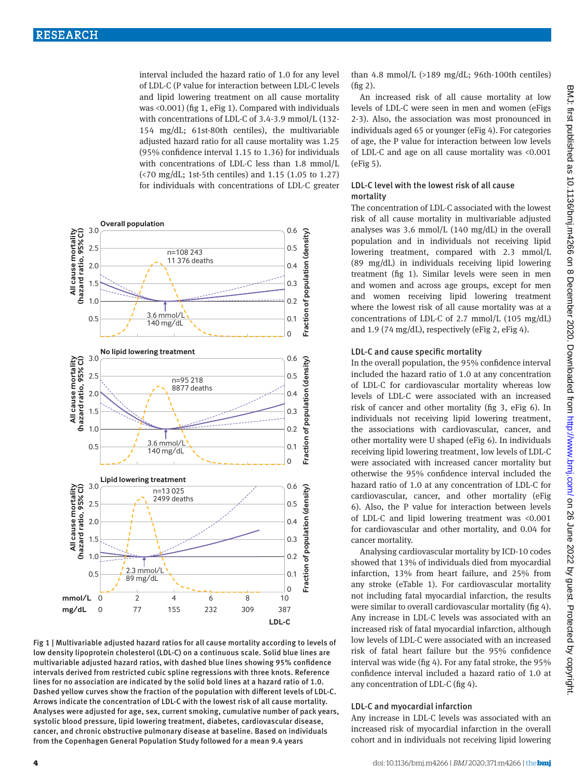interval included the hazard ratio of 1.0 for any level of LDL-C (P value for interaction between LDL-C levels and lipid lowering treatment on all cause mortality was <0.001) (fig 1, eFig 1). Compared with individuals with concentrations of LDL-C of 3.4-3.9 mmol/L (132- 154 mg/dL; 61st-80th centiles), the multivariable adjusted hazard ratio for all cause mortality was 1.25 (95% confidence interval 1.15 to 1.36) for individuals with concentrations of LDL-C less than 1.8 mmol/L (<70 mg/dL; 1st-5th centiles) and 1.15 (1.05 to 1.27) for individuals with concentrations of LDL-C greater



Fig 1 | Multivariable adjusted hazard ratios for all cause mortality according to levels of low density lipoprotein cholesterol (LDL-C) on a continuous scale. Solid blue lines are multivariable adjusted hazard ratios, with dashed blue lines showing 95% confidence intervals derived from restricted cubic spline regressions with three knots. Reference lines for no association are indicated by the solid bold lines at a hazard ratio of 1.0. Dashed yellow curves show the fraction of the population with different levels of LDL-C. Arrows indicate the concentration of LDL-C with the lowest risk of all cause mortality. Analyses were adjusted for age, sex, current smoking, cumulative number of pack years, systolic blood pressure, lipid lowering treatment, diabetes, cardiovascular disease, cancer, and chronic obstructive pulmonary disease at baseline. Based on individuals from the Copenhagen General Population Study followed for a mean 9.4 years

than 4.8 mmol/L  $(>189 \text{ mg/dL}; 96th-100th$  centiles) (fig 2).

An increased risk of all cause mortality at low levels of LDL-C were seen in men and women (eFigs 2-3). Also, the association was most pronounced in individuals aged 65 or younger (eFig 4). For categories of age, the P value for interaction between low levels of LDL-C and age on all cause mortality was <0.001 (eFig 5).

## LDL-C level with the lowest risk of all cause mortality

The concentration of LDL-C associated with the lowest risk of all cause mortality in multivariable adjusted analyses was 3.6 mmol/L (140 mg/dL) in the overall population and in individuals not receiving lipid lowering treatment, compared with 2.3 mmol/L (89 mg/dL) in individuals receiving lipid lowering treatment (fig 1). Similar levels were seen in men and women and across age groups, except for men and women receiving lipid lowering treatment where the lowest risk of all cause mortality was at a concentrations of LDL-C of 2.7 mmol/L (105 mg/dL) and 1.9 (74 mg/dL), respectively (eFig 2, eFig 4).

#### LDL-C and cause specific mortality

In the overall population, the 95% confidence interval included the hazard ratio of 1.0 at any concentration of LDL-C for cardiovascular mortality whereas low levels of LDL-C were associated with an increased risk of cancer and other mortality (fig 3, eFig 6). In individuals not receiving lipid lowering treatment, the associations with cardiovascular, cancer, and other mortality were U shaped (eFig 6). In individuals receiving lipid lowering treatment, low levels of LDL-C were associated with increased cancer mortality but otherwise the 95% confidence interval included the hazard ratio of 1.0 at any concentration of LDL-C for cardiovascular, cancer, and other mortality (eFig 6). Also, the P value for interaction between levels of LDL-C and lipid lowering treatment was <0.001 for cardiovascular and other mortality, and 0.04 for cancer mortality.

Analysing cardiovascular mortality by ICD-10 codes showed that 13% of individuals died from myocardial infarction, 13% from heart failure, and 25% from any stroke (eTable 1). For cardiovascular mortality not including fatal myocardial infarction, the results were similar to overall cardiovascular mortality (fig 4). Any increase in LDL-C levels was associated with an increased risk of fatal myocardial infarction, although low levels of LDL-C were associated with an increased risk of fatal heart failure but the 95% confidence interval was wide (fig 4). For any fatal stroke, the 95% confidence interval included a hazard ratio of 1.0 at any concentration of LDL-C (fig 4).

#### LDL-C and myocardial infarction

Any increase in LDL-C levels was associated with an increased risk of myocardial infarction in the overall cohort and in individuals not receiving lipid lowering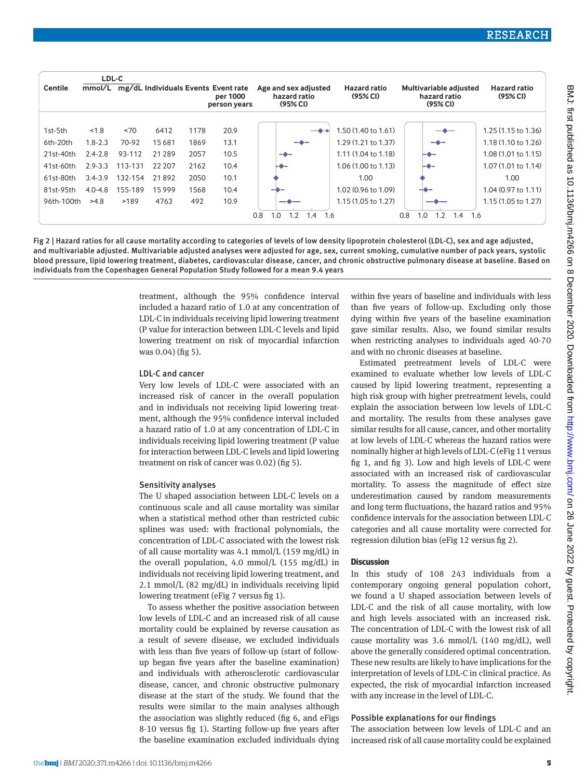

Fig 2 | Hazard ratios for all cause mortality according to categories of levels of low density lipoprotein cholesterol (LDL-C), sex and age adjusted, and multivariable adjusted. Multivariable adjusted analyses were adjusted for age, sex, current smoking, cumulative number of pack years, systolic blood pressure, lipid lowering treatment, diabetes, cardiovascular disease, cancer, and chronic obstructive pulmonary disease at baseline. Based on individuals from the Copenhagen General Population Study followed for a mean 9.4 years

> treatment, although the 95% confidence interval included a hazard ratio of 1.0 at any concentration of LDL-C in individuals receiving lipid lowering treatment (P value for interaction between LDL-C levels and lipid lowering treatment on risk of myocardial infarction was 0.04) (fig 5).

#### LDL-C and cancer

Very low levels of LDL-C were associated with an increased risk of cancer in the overall population and in individuals not receiving lipid lowering treatment, although the 95% confidence interval included a hazard ratio of 1.0 at any concentration of LDL-C in individuals receiving lipid lowering treatment (P value for interaction between LDL-C levels and lipid lowering treatment on risk of cancer was 0.02) (fig 5).

#### Sensitivity analyses

The U shaped association between LDL-C levels on a continuous scale and all cause mortality was similar when a statistical method other than restricted cubic splines was used: with fractional polynomials, the concentration of LDL-C associated with the lowest risk of all cause mortality was 4.1 mmol/L (159 mg/dL) in the overall population, 4.0 mmol/L (155 mg/dL) in individuals not receiving lipid lowering treatment, and 2.1 mmol/L (82 mg/dL) in individuals receiving lipid lowering treatment (eFig 7 versus fig 1).

To assess whether the positive association between low levels of LDL-C and an increased risk of all cause mortality could be explained by reverse causation as a result of severe disease, we excluded individuals with less than five years of follow-up (start of followup began five years after the baseline examination) and individuals with atherosclerotic cardiovascular disease, cancer, and chronic obstructive pulmonary disease at the start of the study. We found that the results were similar to the main analyses although the association was slightly reduced (fig 6, and eFigs 8-10 versus fig 1). Starting follow-up five years after the baseline examination excluded individuals dying within five years of baseline and individuals with less than five years of follow-up. Excluding only those dying within five years of the baseline examination gave similar results. Also, we found similar results when restricting analyses to individuals aged 40-70 and with no chronic diseases at baseline.

Estimated pretreatment levels of LDL-C were examined to evaluate whether low levels of LDL-C caused by lipid lowering treatment, representing a high risk group with higher pretreatment levels, could explain the association between low levels of LDL-C and mortality. The results from these analyses gave similar results for all cause, cancer, and other mortality at low levels of LDL-C whereas the hazard ratios were nominally higher at high levels of LDL-C (eFig 11 versus fig 1, and fig 3). Low and high levels of LDL-C were associated with an increased risk of cardiovascular mortality. To assess the magnitude of effect size underestimation caused by random measurements and long term fluctuations, the hazard ratios and 95% confidence intervals for the association between LDL-C categories and all cause mortality were corrected for regression dilution bias (eFig 12 versus fig 2).

#### **Discussion**

In this study of 108 243 individuals from a contemporary ongoing general population cohort, we found a U shaped association between levels of LDL-C and the risk of all cause mortality, with low and high levels associated with an increased risk. The concentration of LDL-C with the lowest risk of all cause mortality was 3.6 mmol/L (140 mg/dL), well above the generally considered optimal concentration. These new results are likely to have implications for the interpretation of levels of LDL-C in clinical practice. As expected, the risk of myocardial infarction increased with any increase in the level of LDL-C.

## Possible explanations for our findings

The association between low levels of LDL-C and an increased risk of all cause mortality could be explained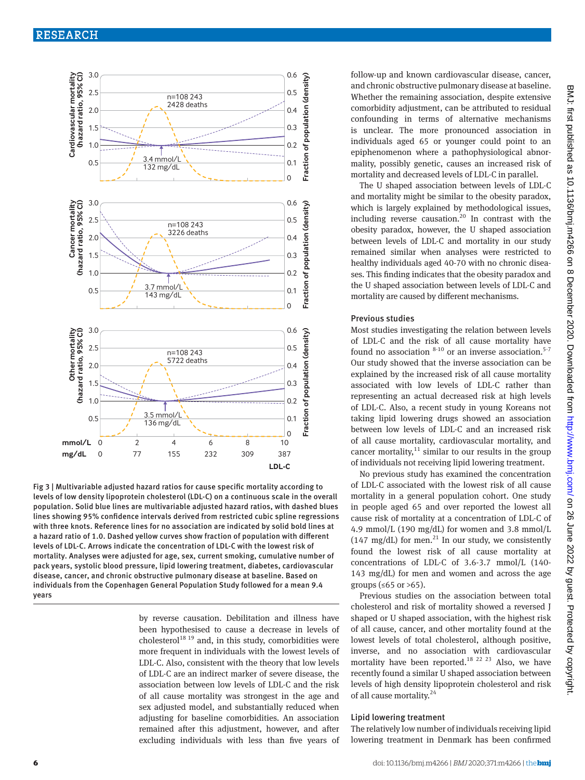

Fig 3 | Multivariable adjusted hazard ratios for cause specific mortality according to levels of low density lipoprotein cholesterol (LDL-C) on a continuous scale in the overall population. Solid blue lines are multivariable adjusted hazard ratios, with dashed blues lines showing 95% confidence intervals derived from restricted cubic spline regressions with three knots. Reference lines for no association are indicated by solid bold lines at a hazard ratio of 1.0. Dashed yellow curves show fraction of population with different levels of LDL-C. Arrows indicate the concentration of LDL-C with the lowest risk of mortality. Analyses were adjusted for age, sex, current smoking, cumulative number of pack years, systolic blood pressure, lipid lowering treatment, diabetes, cardiovascular disease, cancer, and chronic obstructive pulmonary disease at baseline. Based on individuals from the Copenhagen General Population Study followed for a mean 9.4 years

by reverse causation. Debilitation and illness have been hypothesised to cause a decrease in levels of cholesterol<sup>18 19</sup> and, in this study, comorbidities were more frequent in individuals with the lowest levels of LDL-C. Also, consistent with the theory that low levels of LDL-C are an indirect marker of severe disease, the association between low levels of LDL-C and the risk of all cause mortality was strongest in the age and sex adjusted model, and substantially reduced when adjusting for baseline comorbidities. An association remained after this adjustment, however, and after excluding individuals with less than five years of follow-up and known cardiovascular disease, cancer, and chronic obstructive pulmonary disease at baseline. Whether the remaining association, despite extensive comorbidity adjustment, can be attributed to residual confounding in terms of alternative mechanisms is unclear. The more pronounced association in individuals aged 65 or younger could point to an epiphenomenon where a pathophysiological abnormality, possibly genetic, causes an increased risk of mortality and decreased levels of LDL-C in parallel.

The U shaped association between levels of LDL-C and mortality might be similar to the obesity paradox, which is largely explained by methodological issues, including reverse causation. $20$  In contrast with the obesity paradox, however, the U shaped association between levels of LDL-C and mortality in our study remained similar when analyses were restricted to healthy individuals aged 40-70 with no chronic diseases. This finding indicates that the obesity paradox and the U shaped association between levels of LDL-C and mortality are caused by different mechanisms.

#### Previous studies

Most studies investigating the relation between levels of LDL-C and the risk of all cause mortality have found no association  $8-10$  or an inverse association.<sup>5-7</sup> Our study showed that the inverse association can be explained by the increased risk of all cause mortality associated with low levels of LDL-C rather than representing an actual decreased risk at high levels of LDL-C. Also, a recent study in young Koreans not taking lipid lowering drugs showed an association between low levels of LDL-C and an increased risk of all cause mortality, cardiovascular mortality, and cancer mortality, $11$  similar to our results in the group of individuals not receiving lipid lowering treatment.

No previous study has examined the concentration of LDL-C associated with the lowest risk of all cause mortality in a general population cohort. One study in people aged 65 and over reported the lowest all cause risk of mortality at a concentration of LDL-C of 4.9 mmol/L (190 mg/dL) for women and 3.8 mmol/L (147 mg/dL) for men.<sup>21</sup> In our study, we consistently found the lowest risk of all cause mortality at concentrations of LDL-C of 3.6-3.7 mmol/L (140- 143 mg/dL) for men and women and across the age groups ( $\leq 65$  or  $> 65$ ).

Previous studies on the association between total cholesterol and risk of mortality showed a reversed J shaped or U shaped association, with the highest risk of all cause, cancer, and other mortality found at the lowest levels of total cholesterol, although positive, inverse, and no association with cardiovascular mortality have been reported.<sup>18 22 23</sup> Also, we have recently found a similar U shaped association between levels of high density lipoprotein cholesterol and risk of all cause mortality.<sup>24</sup>

## Lipid lowering treatment

The relatively low number of individuals receiving lipid lowering treatment in Denmark has been confirmed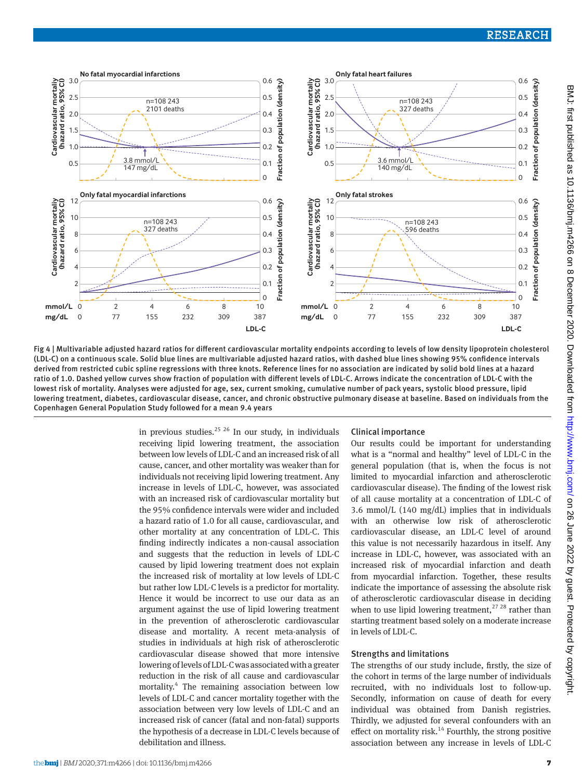

Fig 4 | Multivariable adjusted hazard ratios for different cardiovascular mortality endpoints according to levels of low density lipoprotein cholesterol (LDL-C) on a continuous scale. Solid blue lines are multivariable adjusted hazard ratios, with dashed blue lines showing 95% confidence intervals derived from restricted cubic spline regressions with three knots. Reference lines for no association are indicated by solid bold lines at a hazard ratio of 1.0. Dashed yellow curves show fraction of population with different levels of LDL-C. Arrows indicate the concentration of LDL-C with the lowest risk of mortality. Analyses were adjusted for age, sex, current smoking, cumulative number of pack years, systolic blood pressure, lipid lowering treatment, diabetes, cardiovascular disease, cancer, and chronic obstructive pulmonary disease at baseline. Based on individuals from the Copenhagen General Population Study followed for a mean 9.4 years

in previous studies. $25 \times 26$  In our study, in individuals receiving lipid lowering treatment, the association between low levels of LDL-C and an increased risk of all cause, cancer, and other mortality was weaker than for individuals not receiving lipid lowering treatment. Any increase in levels of LDL-C, however, was associated with an increased risk of cardiovascular mortality but the 95% confidence intervals were wider and included a hazard ratio of 1.0 for all cause, cardiovascular, and other mortality at any concentration of LDL-C. This finding indirectly indicates a non-causal association and suggests that the reduction in levels of LDL-C caused by lipid lowering treatment does not explain the increased risk of mortality at low levels of LDL-C but rather low LDL-C levels is a predictor for mortality. Hence it would be incorrect to use our data as an argument against the use of lipid lowering treatment in the prevention of atherosclerotic cardiovascular disease and mortality. A recent meta-analysis of studies in individuals at high risk of atherosclerotic cardiovascular disease showed that more intensive lowering of levels of LDL-C was associated with a greater reduction in the risk of all cause and cardiovascular mortality.4 The remaining association between low levels of LDL-C and cancer mortality together with the association between very low levels of LDL-C and an increased risk of cancer (fatal and non-fatal) supports the hypothesis of a decrease in LDL-C levels because of debilitation and illness.

#### Clinical importance

Our results could be important for understanding what is a "normal and healthy" level of LDL-C in the general population (that is, when the focus is not limited to myocardial infarction and atherosclerotic cardiovascular disease). The finding of the lowest risk of all cause mortality at a concentration of LDL-C of 3.6 mmol/L (140 mg/dL) implies that in individuals with an otherwise low risk of atherosclerotic cardiovascular disease, an LDL-C level of around this value is not necessarily hazardous in itself. Any increase in LDL-C, however, was associated with an increased risk of myocardial infarction and death from myocardial infarction. Together, these results indicate the importance of assessing the absolute risk of atherosclerotic cardiovascular disease in deciding when to use lipid lowering treatment,  $27 28$  rather than starting treatment based solely on a moderate increase in levels of LDL-C.

## Strengths and limitations

The strengths of our study include, firstly, the size of the cohort in terms of the large number of individuals recruited, with no individuals lost to follow-up. Secondly, information on cause of death for every individual was obtained from Danish registries. Thirdly, we adjusted for several confounders with an effect on mortality risk. $14$  Fourthly, the strong positive association between any increase in levels of LDL-C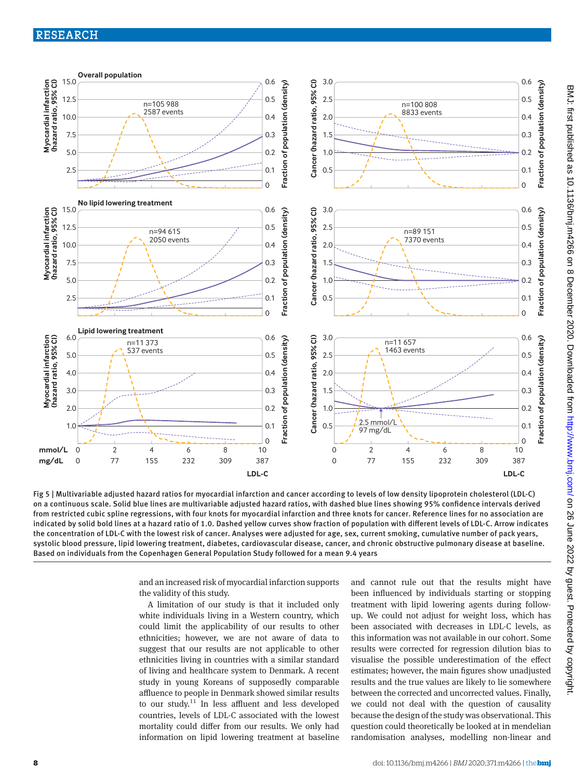## RESEARCH



Fig 5 | Multivariable adjusted hazard ratios for myocardial infarction and cancer according to levels of low density lipoprotein cholesterol (LDL-C) on a continuous scale. Solid blue lines are multivariable adjusted hazard ratios, with dashed blue lines showing 95% confidence intervals derived from restricted cubic spline regressions, with four knots for myocardial infarction and three knots for cancer. Reference lines for no association are indicated by solid bold lines at a hazard ratio of 1.0. Dashed yellow curves show fraction of population with different levels of LDL-C. Arrow indicates the concentration of LDL-C with the lowest risk of cancer. Analyses were adjusted for age, sex, current smoking, cumulative number of pack years, systolic blood pressure, lipid lowering treatment, diabetes, cardiovascular disease, cancer, and chronic obstructive pulmonary disease at baseline. Based on individuals from the Copenhagen General Population Study followed for a mean 9.4 years

and an increased risk of myocardial infarction supports the validity of this study.

A limitation of our study is that it included only white individuals living in a Western country, which could limit the applicability of our results to other ethnicities; however, we are not aware of data to suggest that our results are not applicable to other ethnicities living in countries with a similar standard of living and healthcare system to Denmark. A recent study in young Koreans of supposedly comparable affluence to people in Denmark showed similar results to our study.11 In less affluent and less developed countries, levels of LDL-C associated with the lowest mortality could differ from our results. We only had information on lipid lowering treatment at baseline and cannot rule out that the results might have been influenced by individuals starting or stopping treatment with lipid lowering agents during followup. We could not adjust for weight loss, which has been associated with decreases in LDL-C levels, as this information was not available in our cohort. Some results were corrected for regression dilution bias to visualise the possible underestimation of the effect estimates; however, the main figures show unadjusted results and the true values are likely to lie somewhere between the corrected and uncorrected values. Finally, we could not deal with the question of causality because the design of the study was observational. This question could theoretically be looked at in mendelian randomisation analyses, modelling non-linear and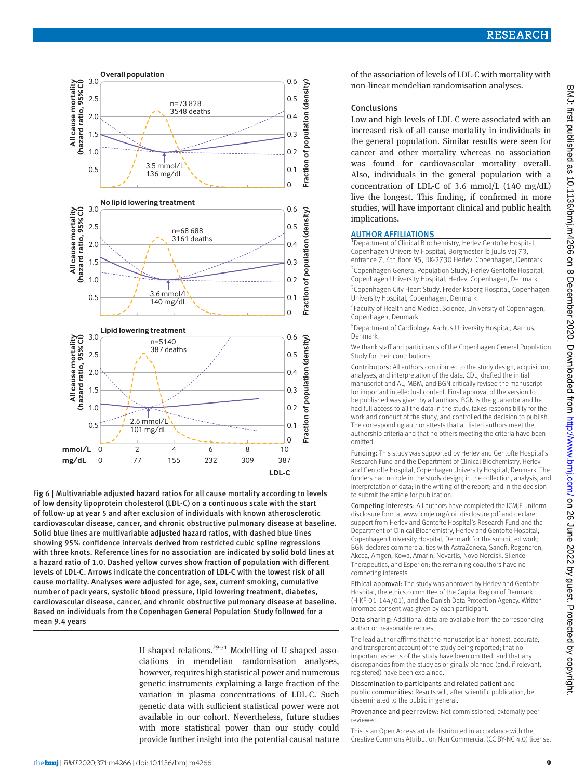



Fig 6 | Multivariable adjusted hazard ratios for all cause mortality according to levels of low density lipoprotein cholesterol (LDL-C) on a continuous scale with the start of follow-up at year 5 and after exclusion of individuals with known atherosclerotic cardiovascular disease, cancer, and chronic obstructive pulmonary disease at baseline. Solid blue lines are multivariable adjusted hazard ratios, with dashed blue lines showing 95% confidence intervals derived from restricted cubic spline regressions with three knots. Reference lines for no association are indicated by solid bold lines at a hazard ratio of 1.0. Dashed yellow curves show fraction of population with different levels of LDL-C. Arrows indicate the concentration of LDL-C with the lowest risk of all cause mortality. Analyses were adjusted for age, sex, current smoking, cumulative number of pack years, systolic blood pressure, lipid lowering treatment, diabetes, cardiovascular disease, cancer, and chronic obstructive pulmonary disease at baseline. Based on individuals from the Copenhagen General Population Study followed for a mean 9.4 years

> U shaped relations. $29-31$  Modelling of U shaped associations in mendelian randomisation analyses, however, requires high statistical power and numerous genetic instruments explaining a large fraction of the variation in plasma concentrations of LDL-C. Such genetic data with sufficient statistical power were not available in our cohort. Nevertheless, future studies with more statistical power than our study could provide further insight into the potential causal nature

of the association of levels of LDL-C with mortality with non-linear mendelian randomisation analyses.

#### Conclusions

Low and high levels of LDL-C were associated with an increased risk of all cause mortality in individuals in the general population. Similar results were seen for cancer and other mortality whereas no association was found for cardiovascular mortality overall. Also, individuals in the general population with a concentration of LDL-C of 3.6 mmol/L (140 mg/dL) live the longest. This finding, if confirmed in more studies, will have important clinical and public health implications.

## **AUTHOR AFFILIATIONS**

1 Department of Clinical Biochemistry, Herlev Gentofte Hospital, Copenhagen University Hospital, Borgmester Ib Juuls Vej 73, entrance 7, 4th floor N5, DK-2730 Herlev, Copenhagen, Denmark

<sup>2</sup> Copenhagen General Population Study, Herlev Gentofte Hospital, Copenhagen University Hospital, Herlev, Copenhagen, Denmark

<sup>3</sup> Copenhagen City Heart Study, Frederiksberg Hospital, Copenhagen University Hospital, Copenhagen, Denmark

4 Faculty of Health and Medical Science, University of Copenhagen, Copenhagen, Denmark

5 Department of Cardiology, Aarhus University Hospital, Aarhus, Denmark

We thank staff and participants of the Copenhagen General Population Study for their contributions.

Contributors: All authors contributed to the study design, acquisition, analyses, and interpretation of the data. CDLJ drafted the initial manuscript and AL, MBM, and BGN critically revised the manuscript for important intellectual content. Final approval of the version to be published was given by all authors. BGN is the guarantor and he had full access to all the data in the study, takes responsibility for the work and conduct of the study, and controlled the decision to publish. The corresponding author attests that all listed authors meet the authorship criteria and that no others meeting the criteria have been omitted.

Funding: This study was supported by Herlev and Gentofte Hospital's Research Fund and the Department of Clinical Biochemistry, Herlev and Gentofte Hospital, Copenhagen University Hospital, Denmark. The funders had no role in the study design; in the collection, analysis, and interpretation of data; in the writing of the report; and in the decision to submit the article for publication.

Competing interests: All authors have completed the ICMJE uniform disclosure form at [www.icmje.org/coi\\_disclosure.pdf](http://www.icmje.org/coi_disclosure.pdf) and declare: support from Herlev and Gentofte Hospital's Research Fund and the Department of Clinical Biochemistry, Herlev and Gentofte Hospital, Copenhagen University Hospital, Denmark for the submitted work; BGN declares commercial ties with AstraZeneca, Sanofi, Regeneron, Akcea, Amgen, Kowa, Amarin, Novartis, Novo Nordisk, Silence Therapeutics, and Esperion; the remaining coauthors have no competing interests.

Ethical approval: The study was approved by Herlev and Gentofte Hospital, the ethics committee of the Capital Region of Denmark (H-KF-01-144/01), and the Danish Data Protection Agency. Written informed consent was given by each participant.

Data sharing: Additional data are available from the corresponding author on reasonable request.

The lead author affirms that the manuscript is an honest, accurate, and transparent account of the study being reported; that no important aspects of the study have been omitted; and that any discrepancies from the study as originally planned (and, if relevant, registered) have been explained.

Dissemination to participants and related patient and public communities: Results will, after scientific publication, be disseminated to the public in general.

Provenance and peer review: Not commissioned; externally peer reviewed.

This is an Open Access article distributed in accordance with the Creative Commons Attribution Non Commercial (CC BY-NC 4.0) license,